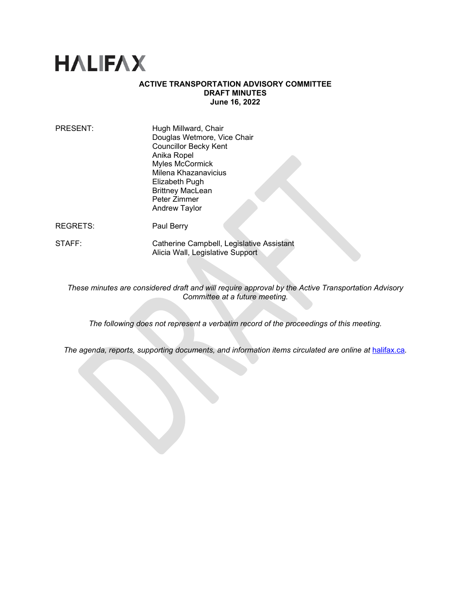# **HALIFAX**

# **ACTIVE TRANSPORTATION ADVISORY COMMITTEE DRAFT MINUTES June 16, 2022**

| PRESENT: | Hugh Millward, Chair         |
|----------|------------------------------|
|          | Douglas Wetmore, Vice Chair  |
|          | <b>Councillor Becky Kent</b> |
|          | Anika Ropel                  |
|          | <b>Myles McCormick</b>       |
|          | Milena Khazanavicius         |
|          | Elizabeth Pugh               |
|          | <b>Brittney MacLean</b>      |
|          | Peter Zimmer                 |
|          | <b>Andrew Taylor</b>         |
|          |                              |

- REGRETS: Paul Berry
- STAFF: Catherine Campbell, Legislative Assistant Alicia Wall, Legislative Support

*These minutes are considered draft and will require approval by the Active Transportation Advisory Committee at a future meeting.* 

*The following does not represent a verbatim record of the proceedings of this meeting.*

The agenda, reports, supporting documents, and information items circulated are online at **[halifax.ca](http://www.halifax.ca/).**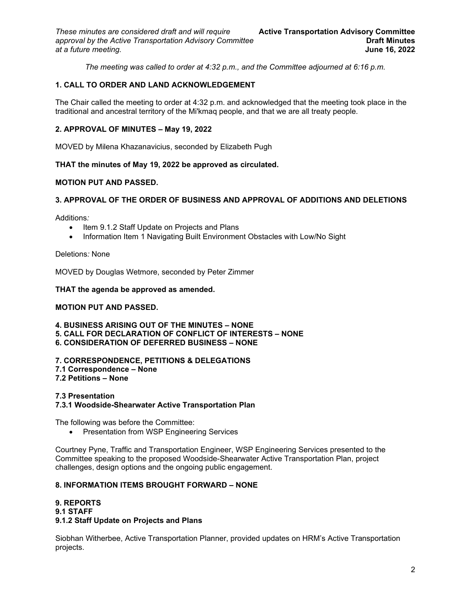*The meeting was called to order at 4:32 p.m., and the Committee adjourned at 6:16 p.m.*

# **1. CALL TO ORDER AND LAND ACKNOWLEDGEMENT**

The Chair called the meeting to order at 4:32 p.m. and acknowledged that the meeting took place in the traditional and ancestral territory of the Mi'kmaq people, and that we are all treaty people.

# **2. APPROVAL OF MINUTES – May 19, 2022**

MOVED by Milena Khazanavicius, seconded by Elizabeth Pugh

# **THAT the minutes of May 19, 2022 be approved as circulated.**

# **MOTION PUT AND PASSED.**

# **3. APPROVAL OF THE ORDER OF BUSINESS AND APPROVAL OF ADDITIONS AND DELETIONS**

Additions*:* 

- Item 9.1.2 Staff Update on Projects and Plans
- Information Item 1 Navigating Built Environment Obstacles with Low/No Sight

Deletions*:* None

MOVED by Douglas Wetmore, seconded by Peter Zimmer

# **THAT the agenda be approved as amended.**

# **MOTION PUT AND PASSED.**

**4. BUSINESS ARISING OUT OF THE MINUTES – NONE**

- **5. CALL FOR DECLARATION OF CONFLICT OF INTERESTS NONE**
- **6. CONSIDERATION OF DEFERRED BUSINESS NONE**

#### **7. CORRESPONDENCE, PETITIONS & DELEGATIONS**

**7.1 Correspondence – None**

**7.2 Petitions – None**

#### **7.3 Presentation**

# **7.3.1 Woodside-Shearwater Active Transportation Plan**

The following was before the Committee:

• Presentation from WSP Engineering Services

Courtney Pyne, Traffic and Transportation Engineer, WSP Engineering Services presented to the Committee speaking to the proposed Woodside-Shearwater Active Transportation Plan, project challenges, design options and the ongoing public engagement.

# **8. INFORMATION ITEMS BROUGHT FORWARD – NONE**

#### **9. REPORTS**

#### **9.1 STAFF**

# **9.1.2 Staff Update on Projects and Plans**

Siobhan Witherbee, Active Transportation Planner, provided updates on HRM's Active Transportation projects.